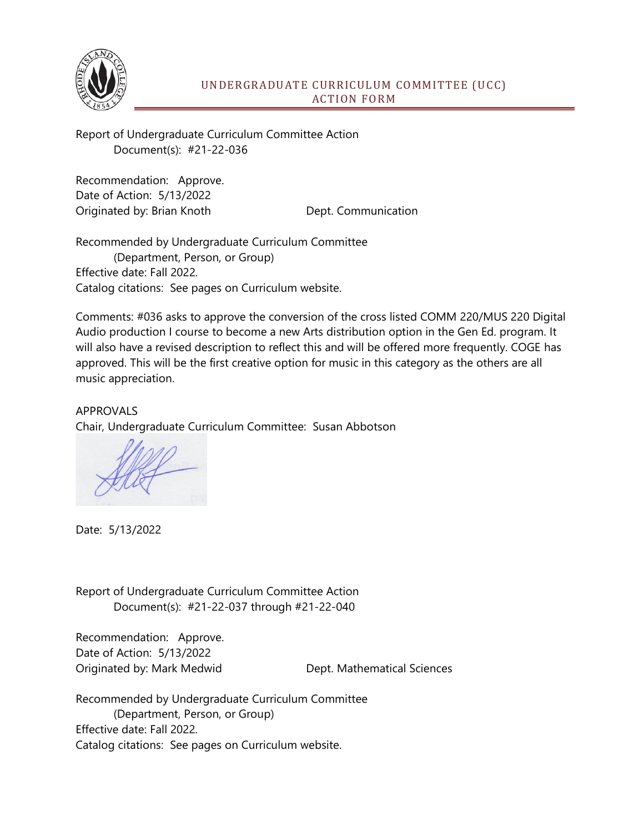

## UNDERGRADUATE CURRICULUM COMMITTEE (UCC) ACTION FORM

Report of Undergraduate Curriculum Committee Action Document(s): #21-22-036

Recommendation: Approve. Date of Action: 5/13/2022 Originated by: Brian Knoth Dept. Communication

Recommended by Undergraduate Curriculum Committee (Department, Person, or Group) Effective date: Fall 2022. Catalog citations: See pages on Curriculum website.

Comments: #036 asks to approve the conversion of the cross listed COMM 220/MUS 220 Digital Audio production I course to become a new Arts distribution option in the Gen Ed. program. It will also have a revised description to reflect this and will be offered more frequently. COGE has approved. This will be the first creative option for music in this category as the others are all music appreciation.

APPROVALS Chair, Undergraduate Curriculum Committee: Susan Abbotson

Date: 5/13/2022

Report of Undergraduate Curriculum Committee Action Document(s): #21-22-037 through #21-22-040

Recommendation: Approve. Date of Action: 5/13/2022 Originated by: Mark Medwid Dept. Mathematical Sciences

Recommended by Undergraduate Curriculum Committee (Department, Person, or Group) Effective date: Fall 2022. Catalog citations: See pages on Curriculum website.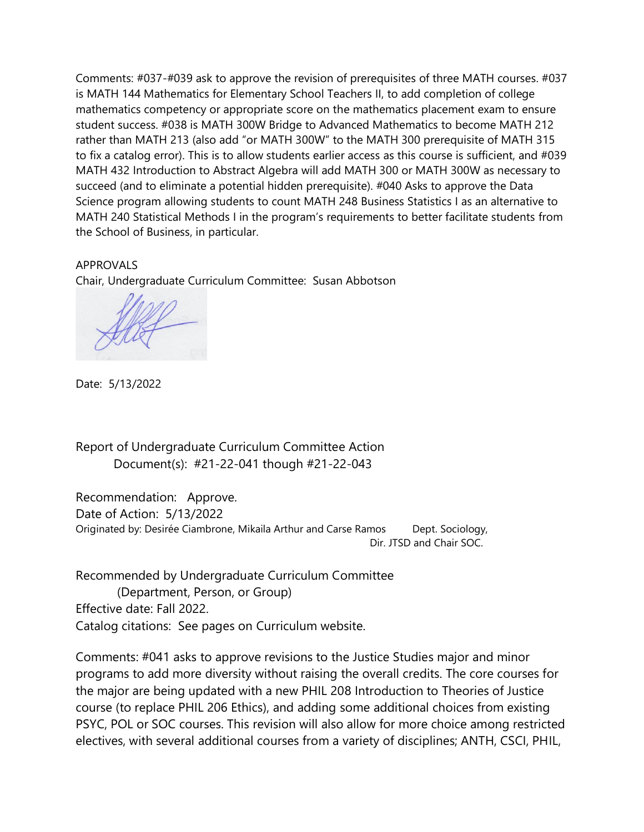Comments: #037-#039 ask to approve the revision of prerequisites of three MATH courses. #037 is MATH 144 Mathematics for Elementary School Teachers II, to add completion of college mathematics competency or appropriate score on the mathematics placement exam to ensure student success. #038 is MATH 300W Bridge to Advanced Mathematics to become MATH 212 rather than MATH 213 (also add "or MATH 300W" to the MATH 300 prerequisite of MATH 315 to fix a catalog error). This is to allow students earlier access as this course is sufficient, and #039 MATH 432 Introduction to Abstract Algebra will add MATH 300 or MATH 300W as necessary to succeed (and to eliminate a potential hidden prerequisite). #040 Asks to approve the Data Science program allowing students to count MATH 248 Business Statistics I as an alternative to MATH 240 Statistical Methods I in the program's requirements to better facilitate students from the School of Business, in particular.

APPROVALS Chair, Undergraduate Curriculum Committee: Susan Abbotson

Date: 5/13/2022

Report of Undergraduate Curriculum Committee Action Document(s): #21-22-041 though #21-22-043

Recommendation: Approve. Date of Action: 5/13/2022 Originated by: Desirée Ciambrone, Mikaila Arthur and Carse Ramos Dept. Sociology, Dir. JTSD and Chair SOC.

Recommended by Undergraduate Curriculum Committee (Department, Person, or Group) Effective date: Fall 2022. Catalog citations: See pages on Curriculum website.

Comments: #041 asks to approve revisions to the Justice Studies major and minor programs to add more diversity without raising the overall credits. The core courses for the major are being updated with a new PHIL 208 Introduction to Theories of Justice course (to replace PHIL 206 Ethics), and adding some additional choices from existing PSYC, POL or SOC courses. This revision will also allow for more choice among restricted electives, with several additional courses from a variety of disciplines; ANTH, CSCI, PHIL,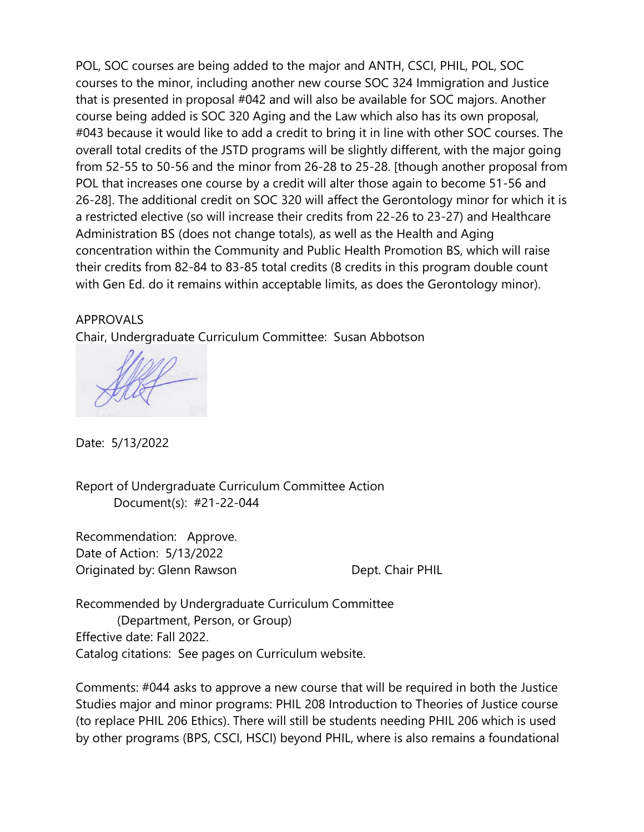POL, SOC courses are being added to the major and ANTH, CSCI, PHIL, POL, SOC courses to the minor, including another new course SOC 324 Immigration and Justice that is presented in proposal #042 and will also be available for SOC majors. Another course being added is SOC 320 Aging and the Law which also has its own proposal, #043 because it would like to add a credit to bring it in line with other SOC courses. The overall total credits of the JSTD programs will be slightly different, with the major going from 52-55 to 50-56 and the minor from 26-28 to 25-28. [though another proposal from POL that increases one course by a credit will alter those again to become 51-56 and 26-28]. The additional credit on SOC 320 will affect the Gerontology minor for which it is a restricted elective (so will increase their credits from 22-26 to 23-27) and Healthcare Administration BS (does not change totals), as well as the Health and Aging concentration within the Community and Public Health Promotion BS, which will raise their credits from 82-84 to 83-85 total credits (8 credits in this program double count with Gen Ed. do it remains within acceptable limits, as does the Gerontology minor).

## APPROVALS

Chair, Undergraduate Curriculum Committee: Susan Abbotson

Date: 5/13/2022

Report of Undergraduate Curriculum Committee Action Document(s): #21-22-044

Recommendation: Approve. Date of Action: 5/13/2022 Originated by: Glenn Rawson Dept. Chair PHIL

Recommended by Undergraduate Curriculum Committee (Department, Person, or Group) Effective date: Fall 2022. Catalog citations: See pages on Curriculum website.

Comments: #044 asks to approve a new course that will be required in both the Justice Studies major and minor programs: PHIL 208 Introduction to Theories of Justice course (to replace PHIL 206 Ethics). There will still be students needing PHIL 206 which is used by other programs (BPS, CSCI, HSCI) beyond PHIL, where is also remains a foundational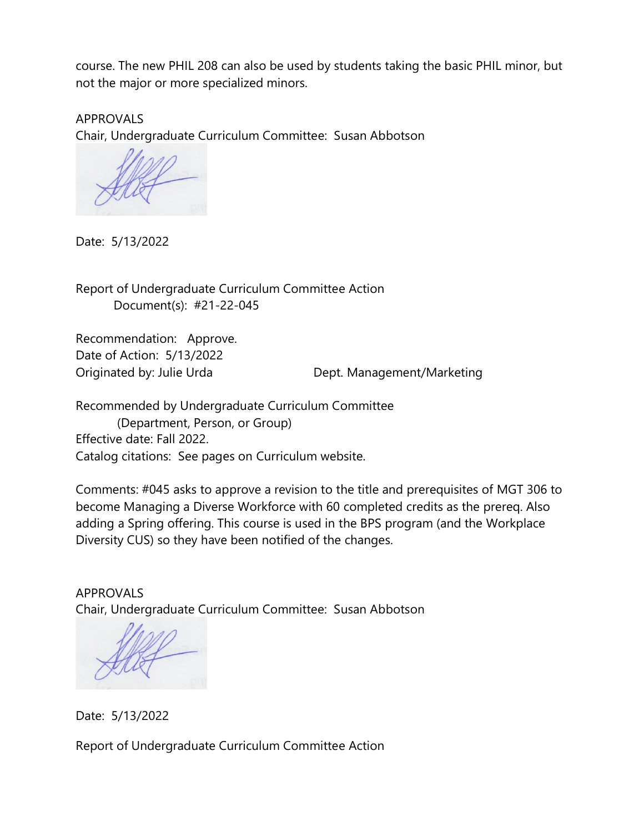course. The new PHIL 208 can also be used by students taking the basic PHIL minor, but not the major or more specialized minors.

APPROVALS Chair, Undergraduate Curriculum Committee: Susan Abbotson

Date: 5/13/2022

Report of Undergraduate Curriculum Committee Action Document(s): #21-22-045

Recommendation: Approve. Date of Action: 5/13/2022

Originated by: Julie Urda Dept. Management/Marketing

Recommended by Undergraduate Curriculum Committee (Department, Person, or Group) Effective date: Fall 2022. Catalog citations: See pages on Curriculum website.

Comments: #045 asks to approve a revision to the title and prerequisites of MGT 306 to become Managing a Diverse Workforce with 60 completed credits as the prereq. Also adding a Spring offering. This course is used in the BPS program (and the Workplace Diversity CUS) so they have been notified of the changes.

APPROVALS Chair, Undergraduate Curriculum Committee: Susan Abbotson

Date: 5/13/2022

Report of Undergraduate Curriculum Committee Action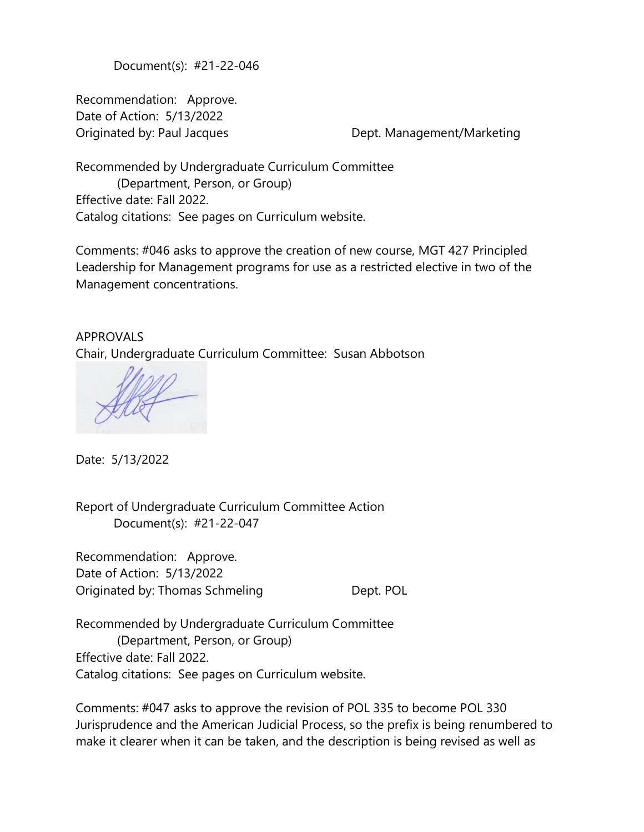Document(s): #21-22-046

Recommendation: Approve. Date of Action: 5/13/2022 Originated by: Paul Jacques Dept. Management/Marketing

Recommended by Undergraduate Curriculum Committee (Department, Person, or Group) Effective date: Fall 2022. Catalog citations: See pages on Curriculum website.

Comments: #046 asks to approve the creation of new course, MGT 427 Principled Leadership for Management programs for use as a restricted elective in two of the Management concentrations.

APPROVALS Chair, Undergraduate Curriculum Committee: Susan Abbotson

Date: 5/13/2022

Report of Undergraduate Curriculum Committee Action Document(s): #21-22-047

Recommendation: Approve. Date of Action: 5/13/2022 Originated by: Thomas Schmeling Theorem Dept. POL

Recommended by Undergraduate Curriculum Committee (Department, Person, or Group) Effective date: Fall 2022. Catalog citations: See pages on Curriculum website.

Comments: #047 asks to approve the revision of POL 335 to become POL 330 Jurisprudence and the American Judicial Process, so the prefix is being renumbered to make it clearer when it can be taken, and the description is being revised as well as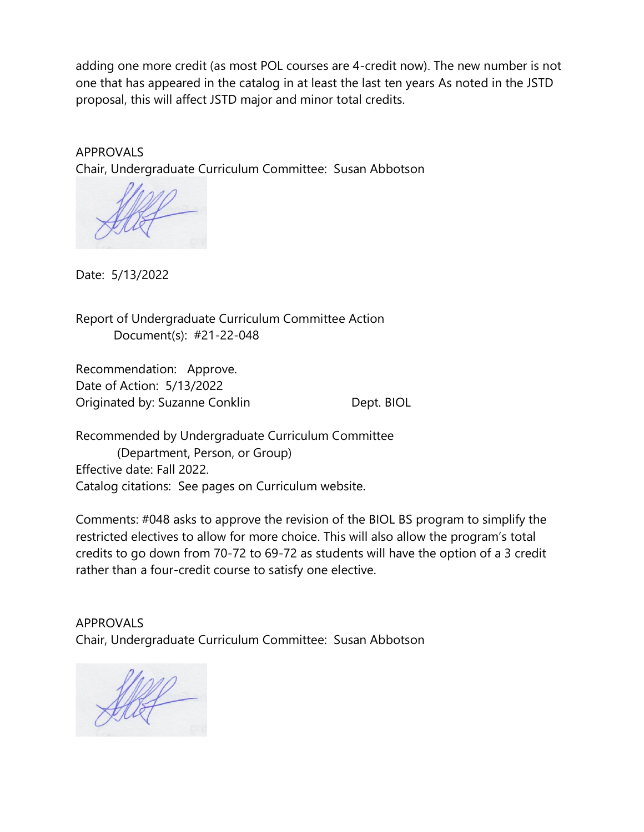adding one more credit (as most POL courses are 4-credit now). The new number is not one that has appeared in the catalog in at least the last ten years As noted in the JSTD proposal, this will affect JSTD major and minor total credits.

APPROVALS Chair, Undergraduate Curriculum Committee: Susan Abbotson

Date: 5/13/2022

Report of Undergraduate Curriculum Committee Action Document(s): #21-22-048

Recommendation: Approve. Date of Action: 5/13/2022 Originated by: Suzanne Conklin Dept. BIOL

Recommended by Undergraduate Curriculum Committee (Department, Person, or Group) Effective date: Fall 2022. Catalog citations: See pages on Curriculum website.

Comments: #048 asks to approve the revision of the BIOL BS program to simplify the restricted electives to allow for more choice. This will also allow the program's total credits to go down from 70-72 to 69-72 as students will have the option of a 3 credit rather than a four-credit course to satisfy one elective.

APPROVALS Chair, Undergraduate Curriculum Committee: Susan Abbotson